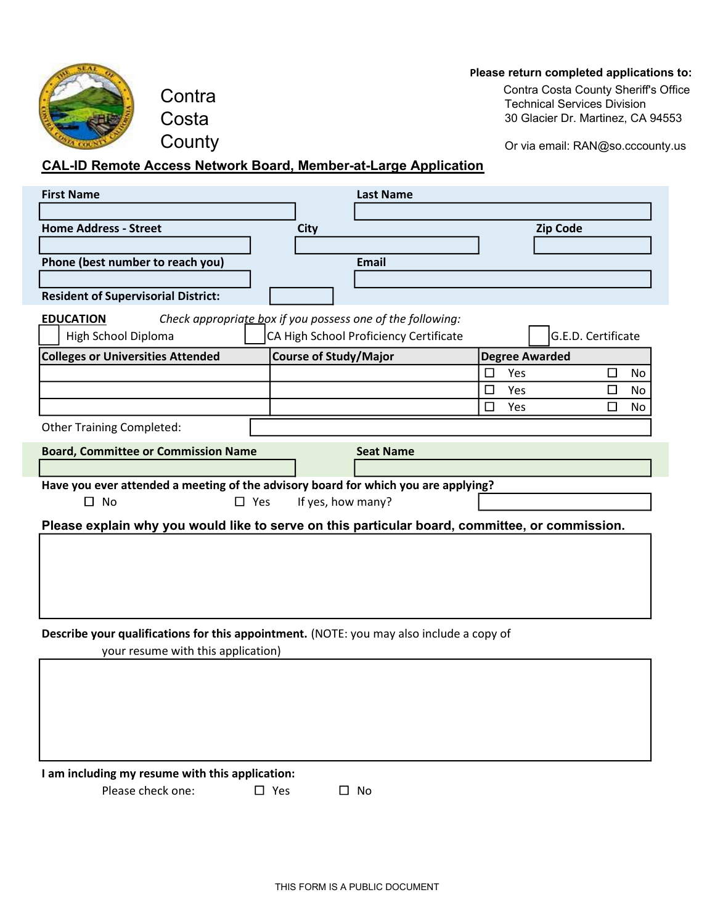## P**lease return completed applications to:**



**Contra** Costa **County** 

 $10021$  Services Division Contra Costa County Sheriff's Office Technical Services Division 30 Glacier Dr. Martinez, CA 94553

Or via email: RAN@so.cccounty.us

## **CAL-ID Remote Access Network Board, Member-at-Large** A**pplication**

| <b>First Name</b>                                                                              |                              | <b>Last Name</b>                                           |                       |                    |           |
|------------------------------------------------------------------------------------------------|------------------------------|------------------------------------------------------------|-----------------------|--------------------|-----------|
|                                                                                                |                              |                                                            |                       |                    |           |
| <b>Home Address - Street</b>                                                                   | <b>City</b>                  |                                                            |                       | <b>Zip Code</b>    |           |
|                                                                                                |                              |                                                            |                       |                    |           |
| Phone (best number to reach you)                                                               |                              | <b>Email</b>                                               |                       |                    |           |
|                                                                                                |                              |                                                            |                       |                    |           |
| <b>Resident of Supervisorial District:</b>                                                     |                              |                                                            |                       |                    |           |
| <b>EDUCATION</b>                                                                               |                              | Check appropriate box if you possess one of the following: |                       |                    |           |
| High School Diploma                                                                            |                              | CA High School Proficiency Certificate                     |                       | G.E.D. Certificate |           |
| <b>Colleges or Universities Attended</b>                                                       | <b>Course of Study/Major</b> |                                                            | <b>Degree Awarded</b> |                    |           |
|                                                                                                |                              |                                                            | Yes<br>$\Box$         | □                  | <b>No</b> |
|                                                                                                |                              |                                                            | Yes<br>□              | □                  | No        |
|                                                                                                |                              |                                                            | $\Box$<br>Yes         | $\Box$             | No        |
| <b>Other Training Completed:</b>                                                               |                              |                                                            |                       |                    |           |
| <b>Board, Committee or Commission Name</b>                                                     |                              | <b>Seat Name</b>                                           |                       |                    |           |
|                                                                                                |                              |                                                            |                       |                    |           |
| Have you ever attended a meeting of the advisory board for which you are applying?             |                              |                                                            |                       |                    |           |
| $\square$ No<br>$\square$ Yes                                                                  | If yes, how many?            |                                                            |                       |                    |           |
| Please explain why you would like to serve on this particular board, committee, or commission. |                              |                                                            |                       |                    |           |
|                                                                                                |                              |                                                            |                       |                    |           |
|                                                                                                |                              |                                                            |                       |                    |           |
|                                                                                                |                              |                                                            |                       |                    |           |
|                                                                                                |                              |                                                            |                       |                    |           |
|                                                                                                |                              |                                                            |                       |                    |           |
|                                                                                                |                              |                                                            |                       |                    |           |
| Describe your qualifications for this appointment. (NOTE: you may also include a copy of       |                              |                                                            |                       |                    |           |
| your resume with this application)                                                             |                              |                                                            |                       |                    |           |
|                                                                                                |                              |                                                            |                       |                    |           |
|                                                                                                |                              |                                                            |                       |                    |           |
|                                                                                                |                              |                                                            |                       |                    |           |
|                                                                                                |                              |                                                            |                       |                    |           |
|                                                                                                |                              |                                                            |                       |                    |           |

I am including my resume with this application:

Please check one:  $\square$  Yes  $\square$  No

 $\square$  Yes